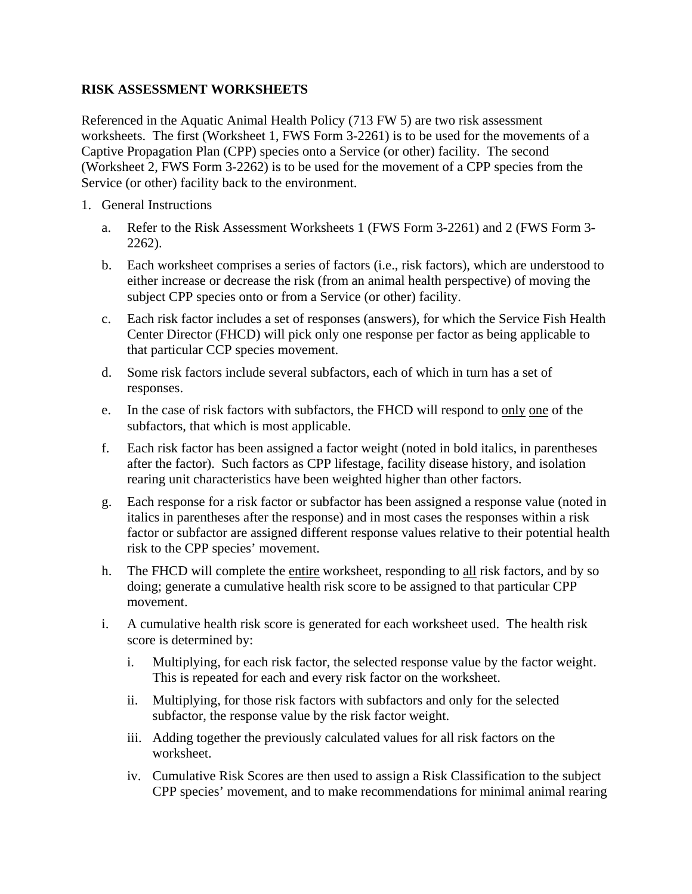## **RISK ASSESSMENT WORKSHEETS**

Referenced in the Aquatic Animal Health Policy (713 FW 5) are two risk assessment worksheets. The first (Worksheet 1, FWS Form 3-2261) is to be used for the movements of a Captive Propagation Plan (CPP) species onto a Service (or other) facility. The second (Worksheet 2, FWS Form 3-2262) is to be used for the movement of a CPP species from the Service (or other) facility back to the environment.

- 1. General Instructions
	- a. Refer to the Risk Assessment Worksheets 1 (FWS Form 3-2261) and 2 (FWS Form 3- 2262).
	- b. Each worksheet comprises a series of factors (i.e., risk factors), which are understood to either increase or decrease the risk (from an animal health perspective) of moving the subject CPP species onto or from a Service (or other) facility.
	- c. Each risk factor includes a set of responses (answers), for which the Service Fish Health Center Director (FHCD) will pick only one response per factor as being applicable to that particular CCP species movement.
	- d. Some risk factors include several subfactors, each of which in turn has a set of responses.
	- e. In the case of risk factors with subfactors, the FHCD will respond to only one of the subfactors, that which is most applicable.
	- f. Each risk factor has been assigned a factor weight (noted in bold italics, in parentheses after the factor). Such factors as CPP lifestage, facility disease history, and isolation rearing unit characteristics have been weighted higher than other factors.
	- g. Each response for a risk factor or subfactor has been assigned a response value (noted in italics in parentheses after the response) and in most cases the responses within a risk factor or subfactor are assigned different response values relative to their potential health risk to the CPP species' movement.
	- h. The FHCD will complete the entire worksheet, responding to all risk factors, and by so doing; generate a cumulative health risk score to be assigned to that particular CPP movement.
	- i. A cumulative health risk score is generated for each worksheet used. The health risk score is determined by:
		- i. Multiplying, for each risk factor, the selected response value by the factor weight. This is repeated for each and every risk factor on the worksheet.
		- ii. Multiplying, for those risk factors with subfactors and only for the selected subfactor, the response value by the risk factor weight.
		- iii. Adding together the previously calculated values for all risk factors on the worksheet.
		- iv. Cumulative Risk Scores are then used to assign a Risk Classification to the subject CPP species' movement, and to make recommendations for minimal animal rearing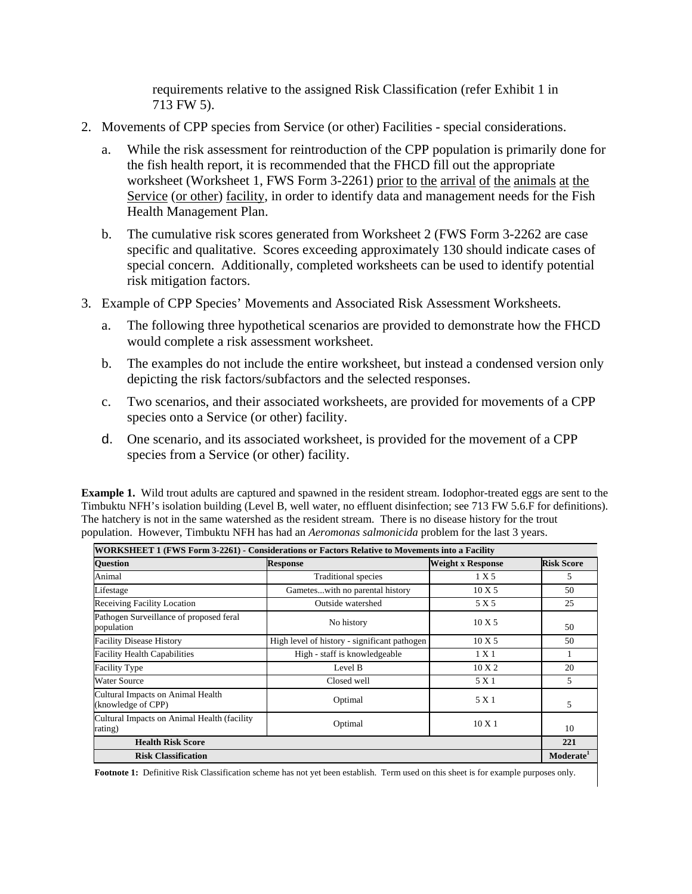requirements relative to the assigned Risk Classification (refer Exhibit 1 in 713 FW 5).

- 2. Movements of CPP species from Service (or other) Facilities special considerations.
	- a. While the risk assessment for reintroduction of the CPP population is primarily done for the fish health report, it is recommended that the FHCD fill out the appropriate worksheet (Worksheet 1, FWS Form 3-2261) prior to the arrival of the animals at the Service (or other) facility, in order to identify data and management needs for the Fish Health Management Plan.
	- b. The cumulative risk scores generated from Worksheet 2 (FWS Form 3-2262 are case specific and qualitative. Scores exceeding approximately 130 should indicate cases of special concern. Additionally, completed worksheets can be used to identify potential risk mitigation factors.
- 3. Example of CPP Species' Movements and Associated Risk Assessment Worksheets.
	- a. The following three hypothetical scenarios are provided to demonstrate how the FHCD would complete a risk assessment worksheet.
	- b. The examples do not include the entire worksheet, but instead a condensed version only depicting the risk factors/subfactors and the selected responses.
	- c. Two scenarios, and their associated worksheets, are provided for movements of a CPP species onto a Service (or other) facility.
	- d. One scenario, and its associated worksheet, is provided for the movement of a CPP species from a Service (or other) facility.

**Example 1.** Wild trout adults are captured and spawned in the resident stream. Iodophor-treated eggs are sent to the Timbuktu NFH's isolation building (Level B, well water, no effluent disinfection; see 713 FW 5.6.F for definitions). The hatchery is not in the same watershed as the resident stream. There is no disease history for the trout population. However, Timbuktu NFH has had an *Aeromonas salmonicida* problem for the last 3 years.

| WORKSHEET 1 (FWS Form 3-2261) - Considerations or Factors Relative to Movements into a Facility |                                              |                   |                       |  |
|-------------------------------------------------------------------------------------------------|----------------------------------------------|-------------------|-----------------------|--|
| <b>Question</b>                                                                                 | <b>Response</b>                              | Weight x Response | <b>Risk Score</b>     |  |
| Animal                                                                                          | <b>Traditional species</b>                   | 1 X 5             | 5                     |  |
| Lifestage                                                                                       | Gameteswith no parental history              | 10X5              | 50                    |  |
| <b>Receiving Facility Location</b>                                                              | Outside watershed                            | 5 X 5             | 25                    |  |
| Pathogen Surveillance of proposed feral<br>population                                           | No history                                   | 10X5              | 50                    |  |
| <b>Facility Disease History</b>                                                                 | High level of history - significant pathogen | 10X5              | 50                    |  |
| <b>Facility Health Capabilities</b>                                                             | High - staff is knowledgeable                | 1 X 1             |                       |  |
| <b>Facility Type</b>                                                                            | Level B                                      | 10X2              | 20                    |  |
| Water Source                                                                                    | Closed well                                  | 5 X 1             | 5                     |  |
| Cultural Impacts on Animal Health<br>(knowledge of CPP)                                         | Optimal                                      | 5 X 1             | 5                     |  |
| Cultural Impacts on Animal Health (facility<br>rating)                                          | Optimal                                      | $10 \times 1$     | 10                    |  |
| <b>Health Risk Score</b>                                                                        |                                              |                   | 221                   |  |
| <b>Risk Classification</b>                                                                      |                                              |                   | Moderate <sup>1</sup> |  |

**Footnote 1:** Definitive Risk Classification scheme has not yet been establish. Term used on this sheet is for example purposes only.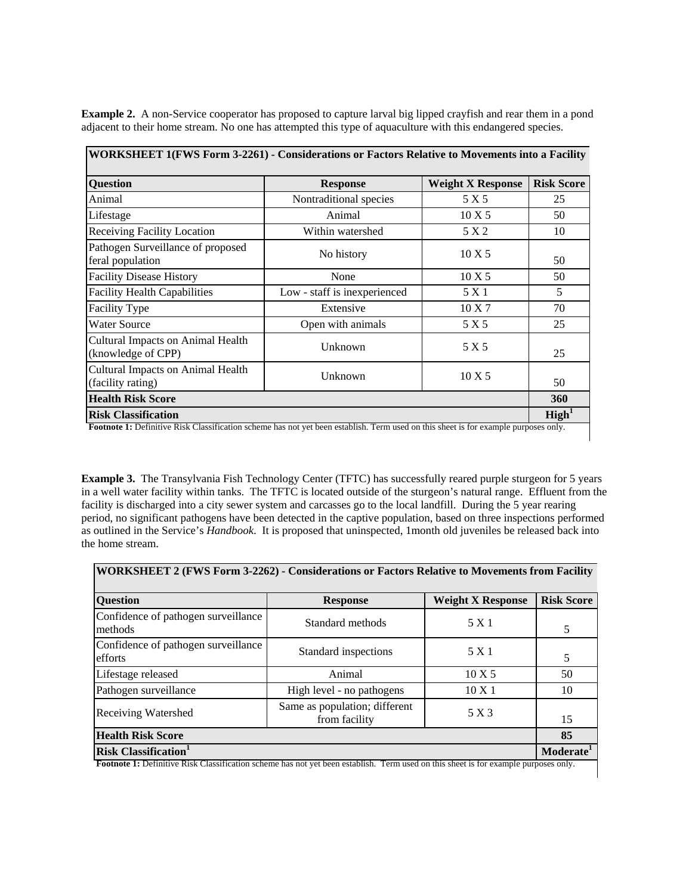| <b>Question</b>                                         | <b>Response</b>              | <b>Weight X Response</b> | <b>Risk Score</b> |
|---------------------------------------------------------|------------------------------|--------------------------|-------------------|
| Animal                                                  | Nontraditional species       | 5 X 5                    | 25                |
| Lifestage                                               | Animal                       | $10 \text{ X} 5$         | 50                |
| <b>Receiving Facility Location</b>                      | Within watershed             | 5 X 2                    | 10                |
| Pathogen Surveillance of proposed<br>feral population   | No history                   | 10X5                     | 50                |
| <b>Facility Disease History</b>                         | None                         | 10X5                     | 50                |
| <b>Facility Health Capabilities</b>                     | Low - staff is inexperienced | 5 X 1                    | 5                 |
| <b>Facility Type</b>                                    | Extensive                    | 10X7                     | 70                |
| <b>Water Source</b>                                     | Open with animals            | 5 X 5                    | 25                |
| Cultural Impacts on Animal Health<br>(knowledge of CPP) | Unknown                      | 5 X 5                    | 25                |
| Cultural Impacts on Animal Health<br>(facility rating)  | Unknown                      | 10X5                     | 50                |
| <b>Health Risk Score</b>                                |                              |                          | 360               |
| <b>Risk Classification</b>                              |                              |                          | $\text{High}^1$   |

**Example 2.** A non-Service cooperator has proposed to capture larval big lipped crayfish and rear them in a pond adjacent to their home stream. No one has attempted this type of aquaculture with this endangered species.

**Example 3.** The Transylvania Fish Technology Center (TFTC) has successfully reared purple sturgeon for 5 years in a well water facility within tanks. The TFTC is located outside of the sturgeon's natural range. Effluent from the facility is discharged into a city sewer system and carcasses go to the local landfill. During the 5 year rearing period, no significant pathogens have been detected in the captive population, based on three inspections performed as outlined in the Service's *Handbook*. It is proposed that uninspected, 1month old juveniles be released back into the home stream.

| WORKSHEET 2 (FWS Form 3-2262) - Considerations or Factors Relative to Movements from Facility |                                                |                          |                       |  |
|-----------------------------------------------------------------------------------------------|------------------------------------------------|--------------------------|-----------------------|--|
| <b>Question</b>                                                                               | <b>Response</b>                                | <b>Weight X Response</b> | <b>Risk Score</b>     |  |
| Confidence of pathogen surveillance<br>methods                                                | Standard methods                               | 5 X 1                    |                       |  |
| Confidence of pathogen surveillance<br>efforts                                                | Standard inspections                           | 5 X 1                    | 5                     |  |
| Lifestage released                                                                            | Animal                                         | 10X5                     | 50                    |  |
| Pathogen surveillance                                                                         | High level - no pathogens                      | $10 \text{ X} 1$         | 10                    |  |
| <b>Receiving Watershed</b>                                                                    | Same as population; different<br>from facility | 5 X 3                    | 15                    |  |
| <b>Health Risk Score</b>                                                                      |                                                |                          | 85                    |  |
| <b>Risk Classification</b>                                                                    |                                                |                          | Moderate <sup>1</sup> |  |

**Footnote 1:** Definitive Risk Classification scheme has not yet been establish. Term used on this sheet is for example purposes only.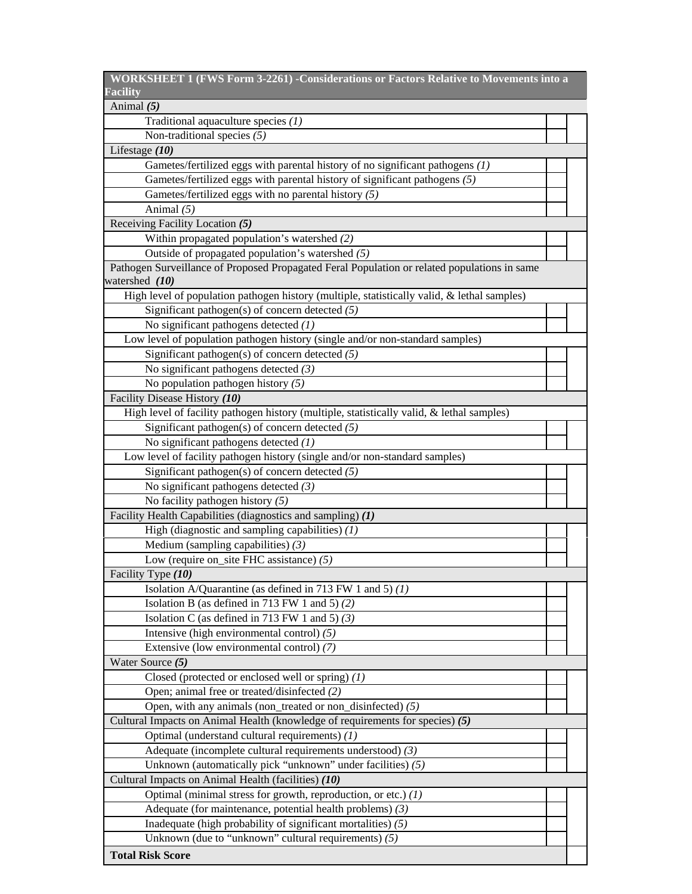| WORKSHEET 1 (FWS Form 3-2261) - Considerations or Factors Relative to Movements into a       |  |
|----------------------------------------------------------------------------------------------|--|
| <b>Facility</b>                                                                              |  |
| Animal (5)                                                                                   |  |
| Traditional aquaculture species $(1)$                                                        |  |
| Non-traditional species $(5)$                                                                |  |
| Lifestage $(10)$                                                                             |  |
| Gametes/fertilized eggs with parental history of no significant pathogens (1)                |  |
| Gametes/fertilized eggs with parental history of significant pathogens (5)                   |  |
| Gametes/fertilized eggs with no parental history (5)                                         |  |
| Animal $(5)$                                                                                 |  |
| Receiving Facility Location (5)                                                              |  |
| Within propagated population's watershed (2)                                                 |  |
| Outside of propagated population's watershed (5)                                             |  |
| Pathogen Surveillance of Proposed Propagated Feral Population or related populations in same |  |
| watershed (10)                                                                               |  |
| High level of population pathogen history (multiple, statistically valid, & lethal samples)  |  |
| Significant pathogen(s) of concern detected $(5)$                                            |  |
| No significant pathogens detected $(1)$                                                      |  |
| Low level of population pathogen history (single and/or non-standard samples)                |  |
| Significant pathogen(s) of concern detected (5)                                              |  |
| No significant pathogens detected $(3)$                                                      |  |
| No population pathogen history $(5)$                                                         |  |
| Facility Disease History (10)                                                                |  |
|                                                                                              |  |
| High level of facility pathogen history (multiple, statistically valid, & lethal samples)    |  |
| Significant pathogen(s) of concern detected $(5)$                                            |  |
| No significant pathogens detected $(1)$                                                      |  |
| Low level of facility pathogen history (single and/or non-standard samples)                  |  |
| Significant pathogen(s) of concern detected $(5)$                                            |  |
| No significant pathogens detected $(3)$                                                      |  |
| No facility pathogen history $(5)$                                                           |  |
| Facility Health Capabilities (diagnostics and sampling) (1)                                  |  |
| High (diagnostic and sampling capabilities) $(1)$                                            |  |
| Medium (sampling capabilities) $(3)$                                                         |  |
| Low (require on_site FHC assistance) $(5)$                                                   |  |
| Facility Type (10)                                                                           |  |
| Isolation A/Quarantine (as defined in 713 FW 1 and 5) $(1)$                                  |  |
| Isolation B (as defined in 713 FW 1 and 5) (2)                                               |  |
| Isolation C (as defined in 713 FW 1 and 5) $(3)$                                             |  |
| Intensive (high environmental control) $(5)$                                                 |  |
| Extensive (low environmental control) (7)                                                    |  |
| Water Source (5)                                                                             |  |
| Closed (protected or enclosed well or spring) $(1)$                                          |  |
| Open; animal free or treated/disinfected (2)                                                 |  |
| Open, with any animals (non_treated or non_disinfected) (5)                                  |  |
| Cultural Impacts on Animal Health (knowledge of requirements for species) (5)                |  |
| Optimal (understand cultural requirements) (1)                                               |  |
| Adequate (incomplete cultural requirements understood) (3)                                   |  |
| Unknown (automatically pick "unknown" under facilities) (5)                                  |  |
| Cultural Impacts on Animal Health (facilities) (10)                                          |  |
| Optimal (minimal stress for growth, reproduction, or etc.) (1)                               |  |
| Adequate (for maintenance, potential health problems) (3)                                    |  |
| Inadequate (high probability of significant mortalities) (5)                                 |  |
| Unknown (due to "unknown" cultural requirements) $(5)$                                       |  |
| <b>Total Risk Score</b>                                                                      |  |
|                                                                                              |  |